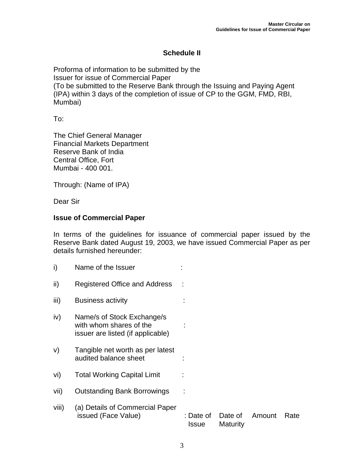## **Schedule II**

Proforma of information to be submitted by the Issuer for issue of Commercial Paper (To be submitted to the Reserve Bank through the Issuing and Paying Agent (IPA) within 3 days of the completion of issue of CP to the GGM, FMD, RBI, Mumbai)

To:

The Chief General Manager Financial Markets Department Reserve Bank of India Central Office, Fort Mumbai - 400 001.

Through: (Name of IPA)

Dear Sir

## **Issue of Commercial Paper**

In terms of the guidelines for issuance of commercial paper issued by the Reserve Bank dated August 19, 2003, we have issued Commercial Paper as per details furnished hereunder:

| i)    | Name of the Issuer                                                                         |                           |                     |        |      |
|-------|--------------------------------------------------------------------------------------------|---------------------------|---------------------|--------|------|
| ii)   | Registered Office and Address                                                              |                           |                     |        |      |
| iii)  | <b>Business activity</b>                                                                   |                           |                     |        |      |
| iv)   | Name/s of Stock Exchange/s<br>with whom shares of the<br>issuer are listed (if applicable) |                           |                     |        |      |
| V)    | Tangible net worth as per latest<br>audited balance sheet                                  |                           |                     |        |      |
| vi)   | <b>Total Working Capital Limit</b>                                                         |                           |                     |        |      |
| vii)  | <b>Outstanding Bank Borrowings</b>                                                         |                           |                     |        |      |
| viii) | (a) Details of Commercial Paper<br>issued (Face Value)                                     | : Date of<br><b>Issue</b> | Date of<br>Maturity | Amount | Rate |